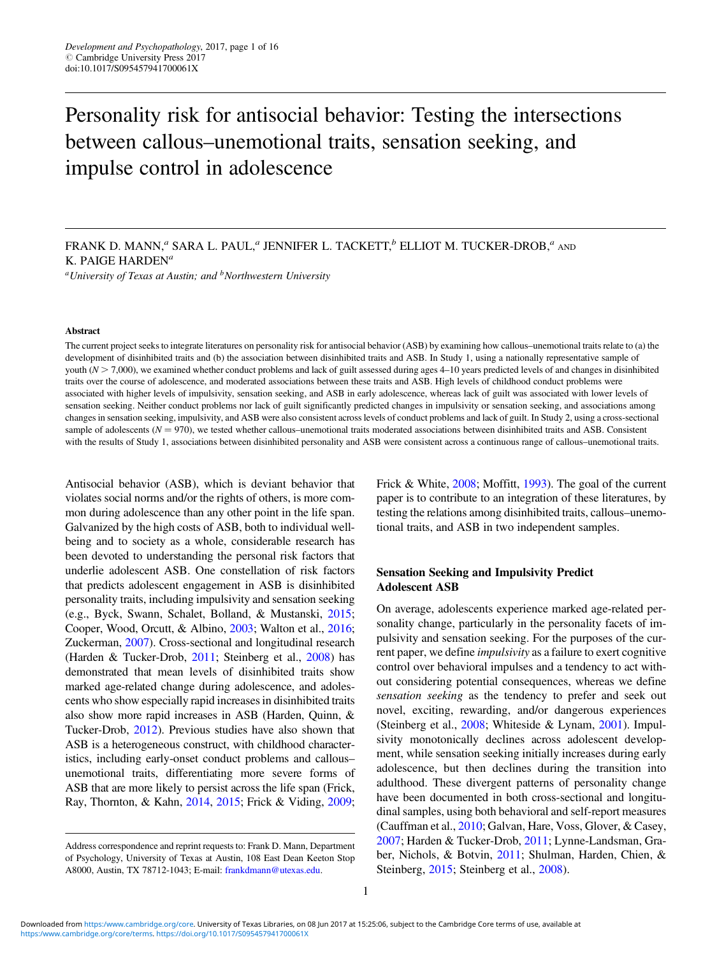# Personality risk for antisocial behavior: Testing the intersections between callous–unemotional traits, sensation seeking, and impulse control in adolescence

 ${}^a$ University of Texas at Austin; and  ${}^b$ Northwestern University

#### Abstract

The current project seeks to integrate literatures on personality risk for antisocial behavior (ASB) by examining how callous–unemotional traits relate to (a) the development of disinhibited traits and (b) the association between disinhibited traits and ASB. In Study 1, using a nationally representative sample of youth  $(N \ge 7,000)$ , we examined whether conduct problems and lack of guilt assessed during ages 4–10 years predicted levels of and changes in disinhibited traits over the course of adolescence, and moderated associations between these traits and ASB. High levels of childhood conduct problems were associated with higher levels of impulsivity, sensation seeking, and ASB in early adolescence, whereas lack of guilt was associated with lower levels of sensation seeking. Neither conduct problems nor lack of guilt significantly predicted changes in impulsivity or sensation seeking, and associations among changes in sensation seeking, impulsivity, and ASB were also consistent across levels of conduct problems and lack of guilt. In Study 2, using a cross-sectional sample of adolescents ( $N = 970$ ), we tested whether callous–unemotional traits moderated associations between disinhibited traits and ASB. Consistent with the results of Study 1, associations between disinhibited personality and ASB were consistent across a continuous range of callous–unemotional traits.

Antisocial behavior (ASB), which is deviant behavior that violates social norms and/or the rights of others, is more common during adolescence than any other point in the life span. Galvanized by the high costs of ASB, both to individual wellbeing and to society as a whole, considerable research has been devoted to understanding the personal risk factors that underlie adolescent ASB. One constellation of risk factors that predicts adolescent engagement in ASB is disinhibited personality traits, including impulsivity and sensation seeking (e.g., Byck, Swann, Schalet, Bolland, & Mustanski, [2015](#page-14-0); Cooper, Wood, Orcutt, & Albino, [2003](#page-14-0); Walton et al., [2016](#page-15-0); Zuckerman, [2007\)](#page-15-0). Cross-sectional and longitudinal research (Harden & Tucker-Drob, [2011;](#page-14-0) Steinberg et al., [2008\)](#page-15-0) has demonstrated that mean levels of disinhibited traits show marked age-related change during adolescence, and adolescents who show especially rapid increases in disinhibited traits also show more rapid increases in ASB (Harden, Quinn, & Tucker-Drob, [2012\)](#page-14-0). Previous studies have also shown that ASB is a heterogeneous construct, with childhood characteristics, including early-onset conduct problems and callous– unemotional traits, differentiating more severe forms of ASB that are more likely to persist across the life span (Frick, Ray, Thornton, & Kahn, [2014,](#page-14-0) [2015](#page-14-0); Frick & Viding, [2009](#page-14-0);

Frick & White, [2008;](#page-14-0) Moffitt, [1993](#page-14-0)). The goal of the current paper is to contribute to an integration of these literatures, by testing the relations among disinhibited traits, callous–unemotional traits, and ASB in two independent samples.

# Sensation Seeking and Impulsivity Predict Adolescent ASB

On average, adolescents experience marked age-related personality change, particularly in the personality facets of impulsivity and sensation seeking. For the purposes of the current paper, we define impulsivity as a failure to exert cognitive control over behavioral impulses and a tendency to act without considering potential consequences, whereas we define sensation seeking as the tendency to prefer and seek out novel, exciting, rewarding, and/or dangerous experiences (Steinberg et al., [2008](#page-15-0); Whiteside & Lynam, [2001](#page-15-0)). Impulsivity monotonically declines across adolescent development, while sensation seeking initially increases during early adolescence, but then declines during the transition into adulthood. These divergent patterns of personality change have been documented in both cross-sectional and longitudinal samples, using both behavioral and self-report measures (Cauffman et al., [2010;](#page-14-0) Galvan, Hare, Voss, Glover, & Casey, [2007;](#page-14-0) Harden & Tucker-Drob, [2011](#page-14-0); Lynne-Landsman, Graber, Nichols, & Botvin, [2011;](#page-14-0) Shulman, Harden, Chien, & Steinberg, [2015](#page-15-0); Steinberg et al., [2008](#page-15-0)).

FRANK D. MANN, $a$  SARA L. PAUL, $a$  JENNIFER L. TACKETT, $b$  ELLIOT M. TUCKER-DROB, $a$  and K. PAIGE HARDEN<sup> $a$ </sup>

Address correspondence and reprint requests to: Frank D. Mann, Department of Psychology, University of Texas at Austin, 108 East Dean Keeton Stop A8000, Austin, TX 78712-1043; E-mail: [frankdmann@utexas.edu](mailto:frankdmann@utexas.edu).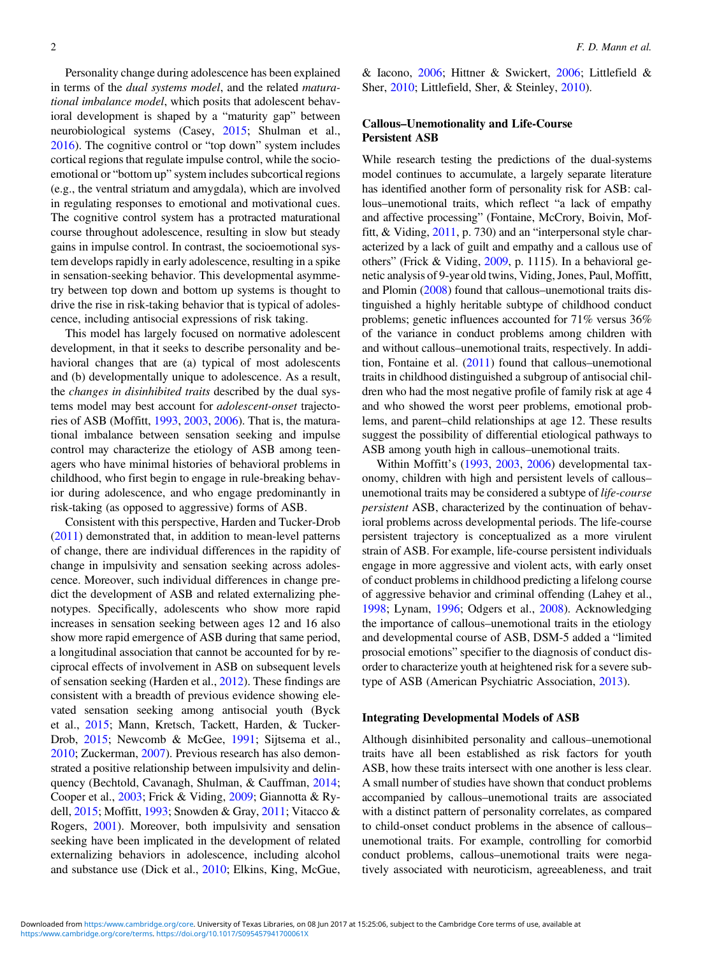Personality change during adolescence has been explained in terms of the dual systems model, and the related maturational imbalance model, which posits that adolescent behavioral development is shaped by a "maturity gap" between neurobiological systems (Casey, [2015;](#page-14-0) Shulman et al., [2016](#page-15-0)). The cognitive control or "top down" system includes cortical regions that regulate impulse control, while the socioemotional or "bottom up" system includes subcortical regions (e.g., the ventral striatum and amygdala), which are involved in regulating responses to emotional and motivational cues. The cognitive control system has a protracted maturational course throughout adolescence, resulting in slow but steady gains in impulse control. In contrast, the socioemotional system develops rapidly in early adolescence, resulting in a spike in sensation-seeking behavior. This developmental asymmetry between top down and bottom up systems is thought to drive the rise in risk-taking behavior that is typical of adolescence, including antisocial expressions of risk taking.

This model has largely focused on normative adolescent development, in that it seeks to describe personality and behavioral changes that are (a) typical of most adolescents and (b) developmentally unique to adolescence. As a result, the changes in disinhibited traits described by the dual systems model may best account for adolescent-onset trajectories of ASB (Moffitt, [1993,](#page-14-0) [2003](#page-15-0), [2006](#page-15-0)). That is, the maturational imbalance between sensation seeking and impulse control may characterize the etiology of ASB among teenagers who have minimal histories of behavioral problems in childhood, who first begin to engage in rule-breaking behavior during adolescence, and who engage predominantly in risk-taking (as opposed to aggressive) forms of ASB.

Consistent with this perspective, Harden and Tucker-Drob [\(2011](#page-14-0)) demonstrated that, in addition to mean-level patterns of change, there are individual differences in the rapidity of change in impulsivity and sensation seeking across adolescence. Moreover, such individual differences in change predict the development of ASB and related externalizing phenotypes. Specifically, adolescents who show more rapid increases in sensation seeking between ages 12 and 16 also show more rapid emergence of ASB during that same period, a longitudinal association that cannot be accounted for by reciprocal effects of involvement in ASB on subsequent levels of sensation seeking (Harden et al., [2012\)](#page-14-0). These findings are consistent with a breadth of previous evidence showing elevated sensation seeking among antisocial youth (Byck et al., [2015;](#page-14-0) Mann, Kretsch, Tackett, Harden, & Tucker-Drob, [2015;](#page-14-0) Newcomb & McGee, [1991;](#page-15-0) Sijtsema et al., [2010](#page-15-0); Zuckerman, [2007](#page-15-0)). Previous research has also demonstrated a positive relationship between impulsivity and delinquency (Bechtold, Cavanagh, Shulman, & Cauffman, [2014](#page-13-0); Cooper et al., [2003;](#page-14-0) Frick & Viding, [2009;](#page-14-0) Giannotta & Rydell, [2015](#page-14-0); Moffitt, [1993](#page-14-0); Snowden & Gray, [2011;](#page-15-0) Vitacco & Rogers, [2001](#page-15-0)). Moreover, both impulsivity and sensation seeking have been implicated in the development of related externalizing behaviors in adolescence, including alcohol and substance use (Dick et al., [2010;](#page-14-0) Elkins, King, McGue,

& Iacono, [2006](#page-14-0); Hittner & Swickert, [2006;](#page-14-0) Littlefield & Sher, [2010](#page-14-0); Littlefield, Sher, & Steinley, [2010\)](#page-14-0).

# Callous–Unemotionality and Life-Course Persistent ASB

While research testing the predictions of the dual-systems model continues to accumulate, a largely separate literature has identified another form of personality risk for ASB: callous–unemotional traits, which reflect "a lack of empathy and affective processing" (Fontaine, McCrory, Boivin, Moffitt, & Viding, [2011](#page-14-0), p. 730) and an "interpersonal style characterized by a lack of guilt and empathy and a callous use of others" (Frick & Viding, [2009](#page-14-0), p. 1115). In a behavioral genetic analysis of 9-year old twins, Viding, Jones, Paul, Moffitt, and Plomin [\(2008\)](#page-15-0) found that callous–unemotional traits distinguished a highly heritable subtype of childhood conduct problems; genetic influences accounted for 71% versus 36% of the variance in conduct problems among children with and without callous–unemotional traits, respectively. In addition, Fontaine et al. [\(2011](#page-14-0)) found that callous–unemotional traits in childhood distinguished a subgroup of antisocial children who had the most negative profile of family risk at age 4 and who showed the worst peer problems, emotional problems, and parent–child relationships at age 12. These results suggest the possibility of differential etiological pathways to ASB among youth high in callous–unemotional traits.

Within Moffitt's ([1993,](#page-14-0) [2003,](#page-15-0) [2006\)](#page-15-0) developmental taxonomy, children with high and persistent levels of callous– unemotional traits may be considered a subtype of life-course persistent ASB, characterized by the continuation of behavioral problems across developmental periods. The life-course persistent trajectory is conceptualized as a more virulent strain of ASB. For example, life-course persistent individuals engage in more aggressive and violent acts, with early onset of conduct problems in childhood predicting a lifelong course of aggressive behavior and criminal offending (Lahey et al., [1998](#page-14-0); Lynam, [1996](#page-14-0); Odgers et al., [2008](#page-15-0)). Acknowledging the importance of callous–unemotional traits in the etiology and developmental course of ASB, DSM-5 added a "limited prosocial emotions" specifier to the diagnosis of conduct disorder to characterize youth at heightened risk for a severe subtype of ASB (American Psychiatric Association, [2013](#page-13-0)).

## Integrating Developmental Models of ASB

Although disinhibited personality and callous–unemotional traits have all been established as risk factors for youth ASB, how these traits intersect with one another is less clear. A small number of studies have shown that conduct problems accompanied by callous–unemotional traits are associated with a distinct pattern of personality correlates, as compared to child-onset conduct problems in the absence of callous– unemotional traits. For example, controlling for comorbid conduct problems, callous–unemotional traits were negatively associated with neuroticism, agreeableness, and trait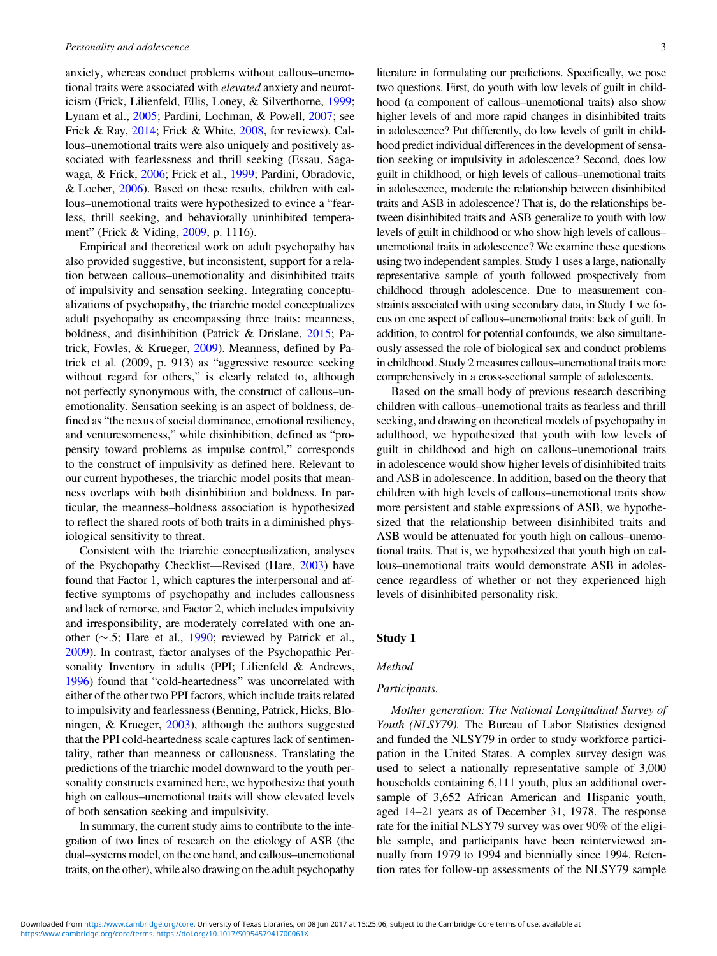anxiety, whereas conduct problems without callous–unemotional traits were associated with elevated anxiety and neuroticism (Frick, Lilienfeld, Ellis, Loney, & Silverthorne, [1999](#page-14-0); Lynam et al., [2005](#page-14-0); Pardini, Lochman, & Powell, [2007;](#page-15-0) see Frick & Ray, [2014](#page-14-0); Frick & White, [2008](#page-14-0), for reviews). Callous–unemotional traits were also uniquely and positively associated with fearlessness and thrill seeking (Essau, Sagawaga, & Frick, [2006;](#page-14-0) Frick et al., [1999;](#page-14-0) Pardini, Obradovic, & Loeber, [2006\)](#page-15-0). Based on these results, children with callous–unemotional traits were hypothesized to evince a "fearless, thrill seeking, and behaviorally uninhibited temperament" (Frick & Viding, [2009](#page-14-0), p. 1116).

Empirical and theoretical work on adult psychopathy has also provided suggestive, but inconsistent, support for a relation between callous–unemotionality and disinhibited traits of impulsivity and sensation seeking. Integrating conceptualizations of psychopathy, the triarchic model conceptualizes adult psychopathy as encompassing three traits: meanness, boldness, and disinhibition (Patrick & Drislane, [2015](#page-15-0); Patrick, Fowles, & Krueger, [2009\)](#page-15-0). Meanness, defined by Patrick et al. (2009, p. 913) as "aggressive resource seeking without regard for others," is clearly related to, although not perfectly synonymous with, the construct of callous–unemotionality. Sensation seeking is an aspect of boldness, defined as "the nexus of social dominance, emotional resiliency, and venturesomeness," while disinhibition, defined as "propensity toward problems as impulse control," corresponds to the construct of impulsivity as defined here. Relevant to our current hypotheses, the triarchic model posits that meanness overlaps with both disinhibition and boldness. In particular, the meanness–boldness association is hypothesized to reflect the shared roots of both traits in a diminished physiological sensitivity to threat.

Consistent with the triarchic conceptualization, analyses of the Psychopathy Checklist—Revised (Hare, [2003](#page-14-0)) have found that Factor 1, which captures the interpersonal and affective symptoms of psychopathy and includes callousness and lack of remorse, and Factor 2, which includes impulsivity and irresponsibility, are moderately correlated with one another  $(\sim 5;$  Hare et al., [1990](#page-14-0); reviewed by Patrick et al., [2009](#page-15-0)). In contrast, factor analyses of the Psychopathic Personality Inventory in adults (PPI; Lilienfeld & Andrews, [1996](#page-14-0)) found that "cold-heartedness" was uncorrelated with either of the other two PPI factors, which include traits related to impulsivity and fearlessness (Benning, Patrick, Hicks, Bloningen, & Krueger, [2003\)](#page-13-0), although the authors suggested that the PPI cold-heartedness scale captures lack of sentimentality, rather than meanness or callousness. Translating the predictions of the triarchic model downward to the youth personality constructs examined here, we hypothesize that youth high on callous–unemotional traits will show elevated levels of both sensation seeking and impulsivity.

In summary, the current study aims to contribute to the integration of two lines of research on the etiology of ASB (the dual–systems model, on the one hand, and callous–unemotional traits, on the other), while also drawing on the adult psychopathy literature in formulating our predictions. Specifically, we pose two questions. First, do youth with low levels of guilt in childhood (a component of callous–unemotional traits) also show higher levels of and more rapid changes in disinhibited traits in adolescence? Put differently, do low levels of guilt in childhood predict individual differences in the development of sensation seeking or impulsivity in adolescence? Second, does low guilt in childhood, or high levels of callous–unemotional traits in adolescence, moderate the relationship between disinhibited traits and ASB in adolescence? That is, do the relationships between disinhibited traits and ASB generalize to youth with low levels of guilt in childhood or who show high levels of callous– unemotional traits in adolescence? We examine these questions using two independent samples. Study 1 uses a large, nationally representative sample of youth followed prospectively from childhood through adolescence. Due to measurement constraints associated with using secondary data, in Study 1 we focus on one aspect of callous–unemotional traits: lack of guilt. In addition, to control for potential confounds, we also simultaneously assessed the role of biological sex and conduct problems in childhood. Study 2 measures callous–unemotional traits more comprehensively in a cross-sectional sample of adolescents.

Based on the small body of previous research describing children with callous–unemotional traits as fearless and thrill seeking, and drawing on theoretical models of psychopathy in adulthood, we hypothesized that youth with low levels of guilt in childhood and high on callous–unemotional traits in adolescence would show higher levels of disinhibited traits and ASB in adolescence. In addition, based on the theory that children with high levels of callous–unemotional traits show more persistent and stable expressions of ASB, we hypothesized that the relationship between disinhibited traits and ASB would be attenuated for youth high on callous–unemotional traits. That is, we hypothesized that youth high on callous–unemotional traits would demonstrate ASB in adolescence regardless of whether or not they experienced high levels of disinhibited personality risk.

# Study 1

## Method

# Participants.

Mother generation: The National Longitudinal Survey of Youth (NLSY79). The Bureau of Labor Statistics designed and funded the NLSY79 in order to study workforce participation in the United States. A complex survey design was used to select a nationally representative sample of 3,000 households containing 6,111 youth, plus an additional oversample of 3,652 African American and Hispanic youth, aged 14–21 years as of December 31, 1978. The response rate for the initial NLSY79 survey was over 90% of the eligible sample, and participants have been reinterviewed annually from 1979 to 1994 and biennially since 1994. Retention rates for follow-up assessments of the NLSY79 sample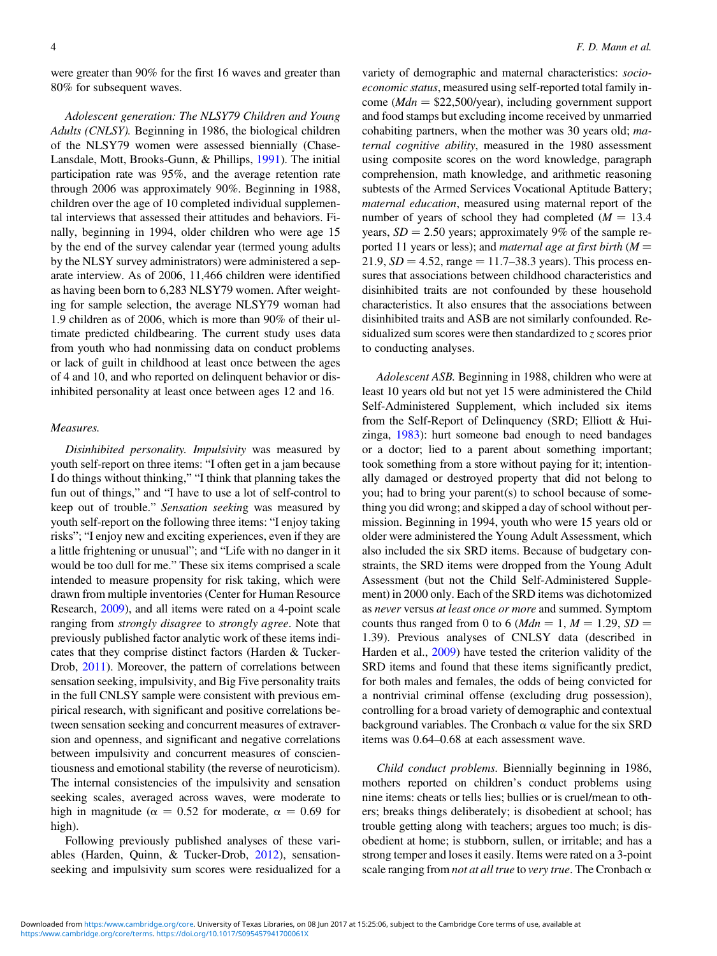were greater than 90% for the first 16 waves and greater than 80% for subsequent waves.

Adolescent generation: The NLSY79 Children and Young Adults (CNLSY). Beginning in 1986, the biological children of the NLSY79 women were assessed biennially (Chase-Lansdale, Mott, Brooks-Gunn, & Phillips, [1991](#page-14-0)). The initial participation rate was 95%, and the average retention rate through 2006 was approximately 90%. Beginning in 1988, children over the age of 10 completed individual supplemental interviews that assessed their attitudes and behaviors. Finally, beginning in 1994, older children who were age 15 by the end of the survey calendar year (termed young adults by the NLSY survey administrators) were administered a separate interview. As of 2006, 11,466 children were identified as having been born to 6,283 NLSY79 women. After weighting for sample selection, the average NLSY79 woman had 1.9 children as of 2006, which is more than 90% of their ultimate predicted childbearing. The current study uses data from youth who had nonmissing data on conduct problems or lack of guilt in childhood at least once between the ages of 4 and 10, and who reported on delinquent behavior or disinhibited personality at least once between ages 12 and 16.

#### Measures.

Disinhibited personality. Impulsivity was measured by youth self-report on three items: "I often get in a jam because I do things without thinking," "I think that planning takes the fun out of things," and "I have to use a lot of self-control to keep out of trouble." Sensation seeking was measured by youth self-report on the following three items: "I enjoy taking risks"; "I enjoy new and exciting experiences, even if they are a little frightening or unusual"; and "Life with no danger in it would be too dull for me." These six items comprised a scale intended to measure propensity for risk taking, which were drawn from multiple inventories (Center for Human Resource Research, [2009](#page-14-0)), and all items were rated on a 4-point scale ranging from strongly disagree to strongly agree. Note that previously published factor analytic work of these items indicates that they comprise distinct factors (Harden & Tucker-Drob, [2011](#page-14-0)). Moreover, the pattern of correlations between sensation seeking, impulsivity, and Big Five personality traits in the full CNLSY sample were consistent with previous empirical research, with significant and positive correlations between sensation seeking and concurrent measures of extraversion and openness, and significant and negative correlations between impulsivity and concurrent measures of conscientiousness and emotional stability (the reverse of neuroticism). The internal consistencies of the impulsivity and sensation seeking scales, averaged across waves, were moderate to high in magnitude ( $\alpha = 0.52$  for moderate,  $\alpha = 0.69$  for high).

Following previously published analyses of these variables (Harden, Quinn, & Tucker-Drob, [2012](#page-14-0)), sensationseeking and impulsivity sum scores were residualized for a

variety of demographic and maternal characteristics: socioeconomic status, measured using self-reported total family income ( $Mdn = $22,500/\text{year}$ ), including government support and food stamps but excluding income received by unmarried cohabiting partners, when the mother was 30 years old; maternal cognitive ability, measured in the 1980 assessment using composite scores on the word knowledge, paragraph comprehension, math knowledge, and arithmetic reasoning subtests of the Armed Services Vocational Aptitude Battery; maternal education, measured using maternal report of the number of years of school they had completed  $(M = 13.4)$ years,  $SD = 2.50$  years; approximately 9% of the sample reported 11 years or less); and *maternal age at first birth*  $(M =$ 21.9,  $SD = 4.52$ , range  $= 11.7 - 38.3$  years). This process ensures that associations between childhood characteristics and disinhibited traits are not confounded by these household characteristics. It also ensures that the associations between disinhibited traits and ASB are not similarly confounded. Residualized sum scores were then standardized to z scores prior to conducting analyses.

Adolescent ASB. Beginning in 1988, children who were at least 10 years old but not yet 15 were administered the Child Self-Administered Supplement, which included six items from the Self-Report of Delinquency (SRD; Elliott & Huizinga, [1983\)](#page-14-0): hurt someone bad enough to need bandages or a doctor; lied to a parent about something important; took something from a store without paying for it; intentionally damaged or destroyed property that did not belong to you; had to bring your parent(s) to school because of something you did wrong; and skipped a day of school without permission. Beginning in 1994, youth who were 15 years old or older were administered the Young Adult Assessment, which also included the six SRD items. Because of budgetary constraints, the SRD items were dropped from the Young Adult Assessment (but not the Child Self-Administered Supplement) in 2000 only. Each of the SRD items was dichotomized as never versus at least once or more and summed. Symptom counts thus ranged from 0 to 6 (*Mdn* = 1, *M* = 1.29, *SD* = 1.39). Previous analyses of CNLSY data (described in Harden et al., [2009\)](#page-14-0) have tested the criterion validity of the SRD items and found that these items significantly predict, for both males and females, the odds of being convicted for a nontrivial criminal offense (excluding drug possession), controlling for a broad variety of demographic and contextual background variables. The Cronbach  $\alpha$  value for the six SRD items was 0.64–0.68 at each assessment wave.

Child conduct problems. Biennially beginning in 1986, mothers reported on children's conduct problems using nine items: cheats or tells lies; bullies or is cruel/mean to others; breaks things deliberately; is disobedient at school; has trouble getting along with teachers; argues too much; is disobedient at home; is stubborn, sullen, or irritable; and has a strong temper and loses it easily. Items were rated on a 3-point scale ranging from not at all true to very true. The Cronbach  $\alpha$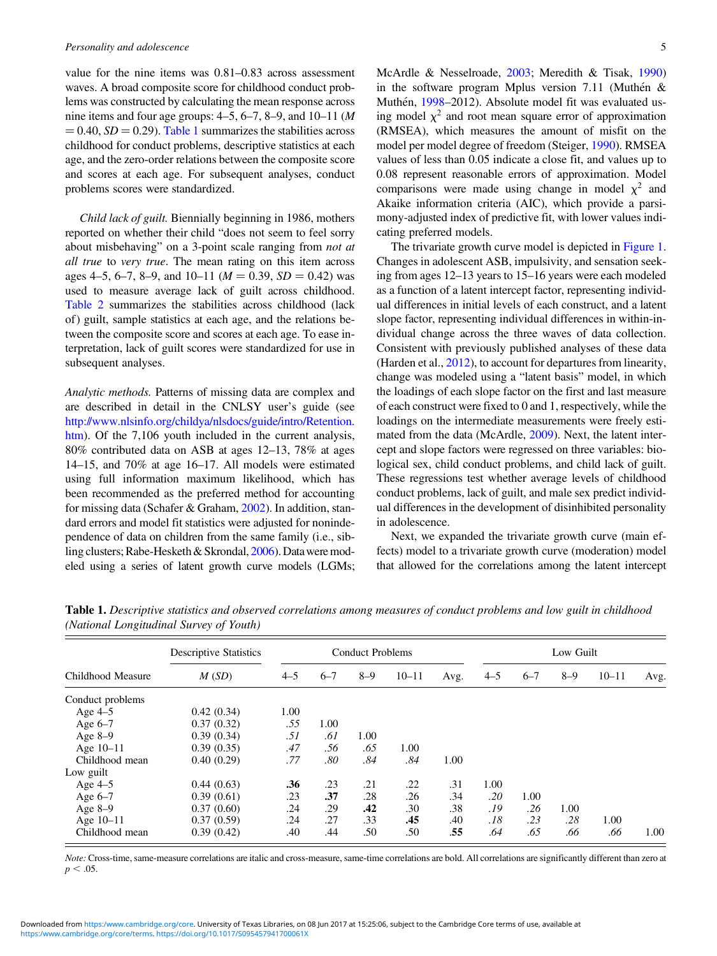value for the nine items was 0.81–0.83 across assessment waves. A broad composite score for childhood conduct problems was constructed by calculating the mean response across nine items and four age groups:  $4-5$ ,  $6-7$ ,  $8-9$ , and  $10-11$  (*M*  $= 0.40$ ,  $SD = 0.29$ ). Table 1 summarizes the stabilities across childhood for conduct problems, descriptive statistics at each age, and the zero-order relations between the composite score and scores at each age. For subsequent analyses, conduct problems scores were standardized.

Child lack of guilt. Biennially beginning in 1986, mothers reported on whether their child "does not seem to feel sorry about misbehaving" on a 3-point scale ranging from not at all true to very true. The mean rating on this item across ages 4–5, 6–7, 8–9, and 10–11 ( $M = 0.39$ ,  $SD = 0.42$ ) was used to measure average lack of guilt across childhood. [Table 2](#page-5-0) summarizes the stabilities across childhood (lack of) guilt, sample statistics at each age, and the relations between the composite score and scores at each age. To ease interpretation, lack of guilt scores were standardized for use in subsequent analyses.

Analytic methods. Patterns of missing data are complex and are described in detail in the CNLSY user's guide (see [http://www.nlsinfo.org/childya/nlsdocs/guide/intro/Retention.](http://www.nlsinfo.org/childya/nlsdocs/guide/intro/Retention.htm) [htm](http://www.nlsinfo.org/childya/nlsdocs/guide/intro/Retention.htm)). Of the 7,106 youth included in the current analysis, 80% contributed data on ASB at ages 12–13, 78% at ages 14–15, and 70% at age 16–17. All models were estimated using full information maximum likelihood, which has been recommended as the preferred method for accounting for missing data (Schafer & Graham, [2002\)](#page-15-0). In addition, standard errors and model fit statistics were adjusted for nonindependence of data on children from the same family (i.e., sibling clusters; Rabe-Hesketh & Skrondal, [2006](#page-15-0)). Datawere modeled using a series of latent growth curve models (LGMs; McArdle & Nesselroade, [2003;](#page-14-0) Meredith & Tisak, [1990\)](#page-14-0) in the software program Mplus version 7.11 (Muthén  $\&$ Muthén, [1998–](#page-15-0)2012). Absolute model fit was evaluated using model  $\chi^2$  and root mean square error of approximation (RMSEA), which measures the amount of misfit on the model per model degree of freedom (Steiger, [1990\)](#page-15-0). RMSEA values of less than 0.05 indicate a close fit, and values up to 0.08 represent reasonable errors of approximation. Model comparisons were made using change in model  $\chi^2$  and Akaike information criteria (AIC), which provide a parsimony-adjusted index of predictive fit, with lower values indicating preferred models.

The trivariate growth curve model is depicted in [Figure 1.](#page-6-0) Changes in adolescent ASB, impulsivity, and sensation seeking from ages 12–13 years to 15–16 years were each modeled as a function of a latent intercept factor, representing individual differences in initial levels of each construct, and a latent slope factor, representing individual differences in within-individual change across the three waves of data collection. Consistent with previously published analyses of these data (Harden et al., [2012\)](#page-14-0), to account for departures from linearity, change was modeled using a "latent basis" model, in which the loadings of each slope factor on the first and last measure of each construct were fixed to 0 and 1, respectively, while the loadings on the intermediate measurements were freely estimated from the data (McArdle, [2009\)](#page-14-0). Next, the latent intercept and slope factors were regressed on three variables: biological sex, child conduct problems, and child lack of guilt. These regressions test whether average levels of childhood conduct problems, lack of guilt, and male sex predict individual differences in the development of disinhibited personality in adolescence.

Next, we expanded the trivariate growth curve (main effects) model to a trivariate growth curve (moderation) model that allowed for the correlations among the latent intercept

|                   | <b>Descriptive Statistics</b> |         |         | <b>Conduct Problems</b> |           |      |         |         | Low Guilt |           |      |
|-------------------|-------------------------------|---------|---------|-------------------------|-----------|------|---------|---------|-----------|-----------|------|
| Childhood Measure | M(SD)                         | $4 - 5$ | $6 - 7$ | $8 - 9$                 | $10 - 11$ | Avg. | $4 - 5$ | $6 - 7$ | $8 - 9$   | $10 - 11$ | Avg. |
| Conduct problems  |                               |         |         |                         |           |      |         |         |           |           |      |
| Age 4-5           | 0.42(0.34)                    | 1.00    |         |                         |           |      |         |         |           |           |      |
| Age $6-7$         | 0.37(0.32)                    | .55     | 1.00    |                         |           |      |         |         |           |           |      |
| Age $8-9$         | 0.39(0.34)                    | .51     | .61     | 1.00                    |           |      |         |         |           |           |      |
| Age 10-11         | 0.39(0.35)                    | .47     | .56     | .65                     | 1.00      |      |         |         |           |           |      |
| Childhood mean    | 0.40(0.29)                    | .77     | .80     | .84                     | .84       | 1.00 |         |         |           |           |      |
| Low guilt         |                               |         |         |                         |           |      |         |         |           |           |      |
| Age 4-5           | 0.44(0.63)                    | .36     | .23     | .21                     | .22       | .31  | 1.00    |         |           |           |      |
| Age $6-7$         | 0.39(0.61)                    | .23     | .37     | .28                     | .26       | .34  | .20     | 1.00    |           |           |      |
| Age $8-9$         | 0.37(0.60)                    | .24     | .29     | .42                     | .30       | .38  | .19     | .26     | 1.00      |           |      |
| Age 10-11         | 0.37(0.59)                    | .24     | .27     | .33                     | .45       | .40  | .18     | .23     | .28       | 1.00      |      |
| Childhood mean    | 0.39(0.42)                    | .40     | .44     | .50                     | .50       | .55  | .64     | .65     | .66       | .66       | 1.00 |

Table 1. Descriptive statistics and observed correlations among measures of conduct problems and low guilt in childhood (National Longitudinal Survey of Youth)

Note: Cross-time, same-measure correlations are italic and cross-measure, same-time correlations are bold. All correlations are significantly different than zero at  $p < .05$ .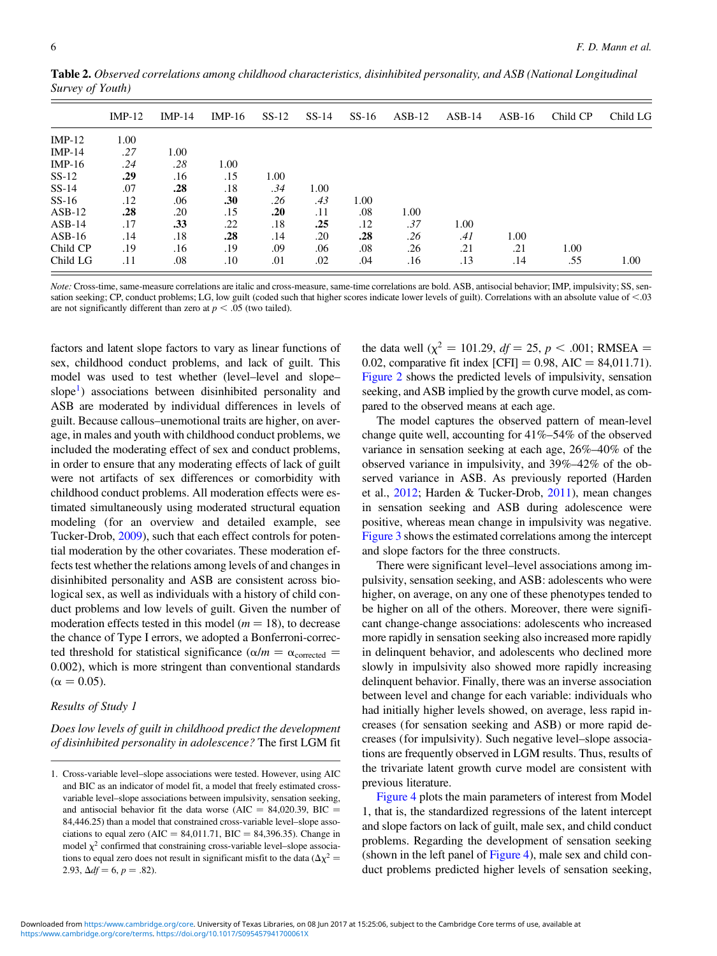|          | $IMP-12$ | $IMP-14$ | $IMP-16$ | $SS-12$ | $SS-14$ | $SS-16$ | $ASB-12$ | $ASB-14$ | $ASB-16$ | Child CP | Child LG |
|----------|----------|----------|----------|---------|---------|---------|----------|----------|----------|----------|----------|
| $IMP-12$ | 1.00     |          |          |         |         |         |          |          |          |          |          |
| $IMP-14$ | .27      | 1.00     |          |         |         |         |          |          |          |          |          |
| $IMP-16$ | .24      | .28      | 1.00     |         |         |         |          |          |          |          |          |
| $SS-12$  | .29      | .16      | .15      | 1.00    |         |         |          |          |          |          |          |
| $SS-14$  | .07      | .28      | .18      | .34     | 1.00    |         |          |          |          |          |          |
| $SS-16$  | .12      | .06      | .30      | .26     | .43     | 1.00    |          |          |          |          |          |
| $ASB-12$ | .28      | .20      | .15      | .20     | .11     | .08     | 1.00     |          |          |          |          |
| $ASB-14$ | .17      | .33      | .22      | .18     | .25     | .12     | .37      | 1.00     |          |          |          |
| $ASB-16$ | .14      | .18      | .28      | .14     | .20     | .28     | .26      | .41      | 1.00     |          |          |
| Child CP | .19      | .16      | .19      | .09     | .06     | .08     | .26      | .21      | .21      | 1.00     |          |
| Child LG | .11      | .08      | .10      | .01     | .02     | .04     | .16      | .13      | .14      | .55      | 1.00     |

<span id="page-5-0"></span>Table 2. Observed correlations among childhood characteristics, disinhibited personality, and ASB (National Longitudinal Survey of Youth)

Note: Cross-time, same-measure correlations are italic and cross-measure, same-time correlations are bold. ASB, antisocial behavior; IMP, impulsivity; SS, sensation seeking; CP, conduct problems; LG, low guilt (coded such that higher scores indicate lower levels of guilt). Correlations with an absolute value of  $<$ .03 are not significantly different than zero at  $p < .05$  (two tailed).

factors and latent slope factors to vary as linear functions of sex, childhood conduct problems, and lack of guilt. This model was used to test whether (level–level and slope– slope<sup>1</sup>) associations between disinhibited personality and ASB are moderated by individual differences in levels of guilt. Because callous–unemotional traits are higher, on average, in males and youth with childhood conduct problems, we included the moderating effect of sex and conduct problems, in order to ensure that any moderating effects of lack of guilt were not artifacts of sex differences or comorbidity with childhood conduct problems. All moderation effects were estimated simultaneously using moderated structural equation modeling (for an overview and detailed example, see Tucker-Drob, [2009\)](#page-15-0), such that each effect controls for potential moderation by the other covariates. These moderation effects test whether the relations among levels of and changes in disinhibited personality and ASB are consistent across biological sex, as well as individuals with a history of child conduct problems and low levels of guilt. Given the number of moderation effects tested in this model ( $m = 18$ ), to decrease the chance of Type I errors, we adopted a Bonferroni-corrected threshold for statistical significance ( $\alpha/m = \alpha_{\text{corrected}}$ ) 0.002), which is more stringent than conventional standards  $(\alpha = 0.05)$ .

### Results of Study 1

Does low levels of guilt in childhood predict the development of disinhibited personality in adolescence? The first LGM fit the data well ( $\chi^2$  = 101.29, df = 25, p < .001; RMSEA = 0.02, comparative fit index  $[CFI] = 0.98$ , AIC = 84,011.71). [Figure 2](#page-7-0) shows the predicted levels of impulsivity, sensation seeking, and ASB implied by the growth curve model, as compared to the observed means at each age.

The model captures the observed pattern of mean-level change quite well, accounting for 41%–54% of the observed variance in sensation seeking at each age, 26%–40% of the observed variance in impulsivity, and 39%–42% of the observed variance in ASB. As previously reported (Harden et al., [2012](#page-14-0); Harden & Tucker-Drob, [2011\)](#page-14-0), mean changes in sensation seeking and ASB during adolescence were positive, whereas mean change in impulsivity was negative. [Figure 3](#page-8-0) shows the estimated correlations among the intercept and slope factors for the three constructs.

There were significant level–level associations among impulsivity, sensation seeking, and ASB: adolescents who were higher, on average, on any one of these phenotypes tended to be higher on all of the others. Moreover, there were significant change-change associations: adolescents who increased more rapidly in sensation seeking also increased more rapidly in delinquent behavior, and adolescents who declined more slowly in impulsivity also showed more rapidly increasing delinquent behavior. Finally, there was an inverse association between level and change for each variable: individuals who had initially higher levels showed, on average, less rapid increases (for sensation seeking and ASB) or more rapid decreases (for impulsivity). Such negative level–slope associations are frequently observed in LGM results. Thus, results of the trivariate latent growth curve model are consistent with previous literature.

[Figure 4](#page-8-0) plots the main parameters of interest from Model 1, that is, the standardized regressions of the latent intercept and slope factors on lack of guilt, male sex, and child conduct problems. Regarding the development of sensation seeking (shown in the left panel of [Figure 4\)](#page-8-0), male sex and child conduct problems predicted higher levels of sensation seeking,

<sup>1.</sup> Cross-variable level–slope associations were tested. However, using AIC and BIC as an indicator of model fit, a model that freely estimated crossvariable level–slope associations between impulsivity, sensation seeking, and antisocial behavior fit the data worse (AIC = 84,020.39, BIC = 84,446.25) than a model that constrained cross-variable level–slope associations to equal zero (AIC = 84,011.71, BIC = 84,396.35). Change in model  $\chi^2$  confirmed that constraining cross-variable level–slope associations to equal zero does not result in significant misfit to the data ( $\Delta \chi^2$  = 2.93,  $\Delta df = 6$ ,  $p = .82$ ).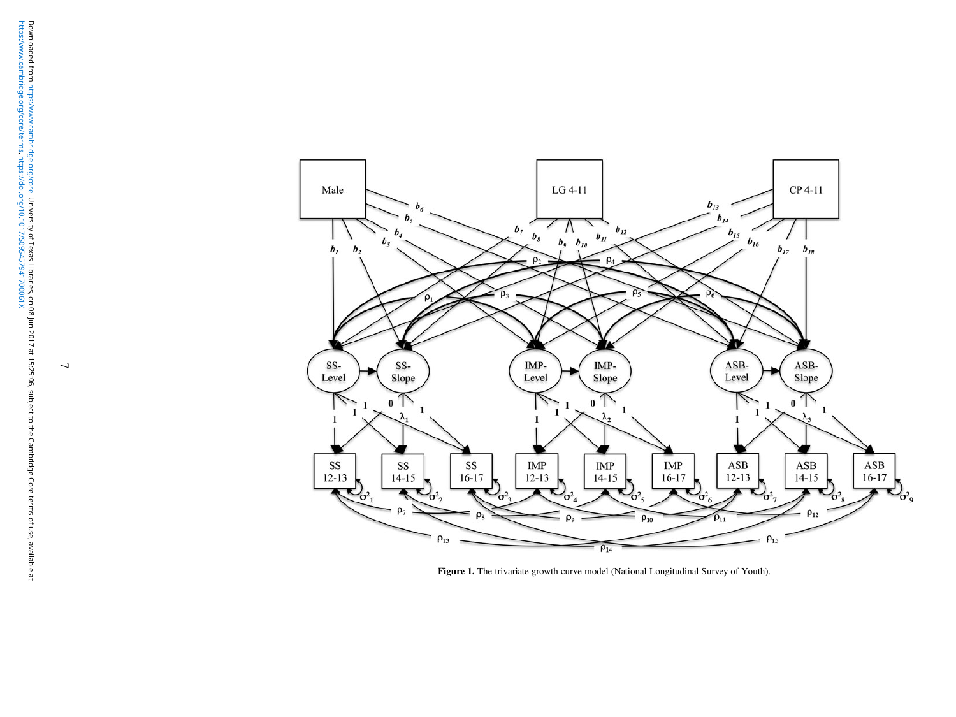<span id="page-6-0"></span>

Figure 1. The trivariate growth curve model (National Longitudinal Survey of Youth).

 $\overline{\phantom{a}}$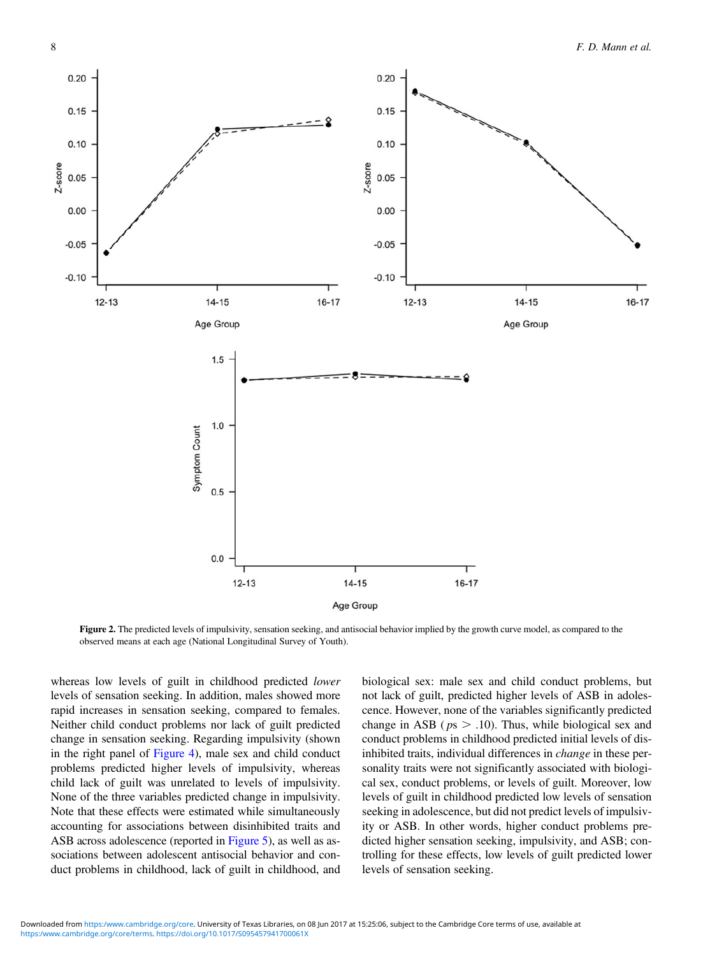<span id="page-7-0"></span>

Figure 2. The predicted levels of impulsivity, sensation seeking, and antisocial behavior implied by the growth curve model, as compared to the observed means at each age (National Longitudinal Survey of Youth).

whereas low levels of guilt in childhood predicted *lower* levels of sensation seeking. In addition, males showed more rapid increases in sensation seeking, compared to females. Neither child conduct problems nor lack of guilt predicted change in sensation seeking. Regarding impulsivity (shown in the right panel of [Figure 4](#page-8-0)), male sex and child conduct problems predicted higher levels of impulsivity, whereas child lack of guilt was unrelated to levels of impulsivity. None of the three variables predicted change in impulsivity. Note that these effects were estimated while simultaneously accounting for associations between disinhibited traits and ASB across adolescence (reported in [Figure 5](#page-9-0)), as well as associations between adolescent antisocial behavior and conduct problems in childhood, lack of guilt in childhood, and

biological sex: male sex and child conduct problems, but not lack of guilt, predicted higher levels of ASB in adolescence. However, none of the variables significantly predicted change in ASB ( $ps > .10$ ). Thus, while biological sex and conduct problems in childhood predicted initial levels of disinhibited traits, individual differences in change in these personality traits were not significantly associated with biological sex, conduct problems, or levels of guilt. Moreover, low levels of guilt in childhood predicted low levels of sensation seeking in adolescence, but did not predict levels of impulsivity or ASB. In other words, higher conduct problems predicted higher sensation seeking, impulsivity, and ASB; controlling for these effects, low levels of guilt predicted lower levels of sensation seeking.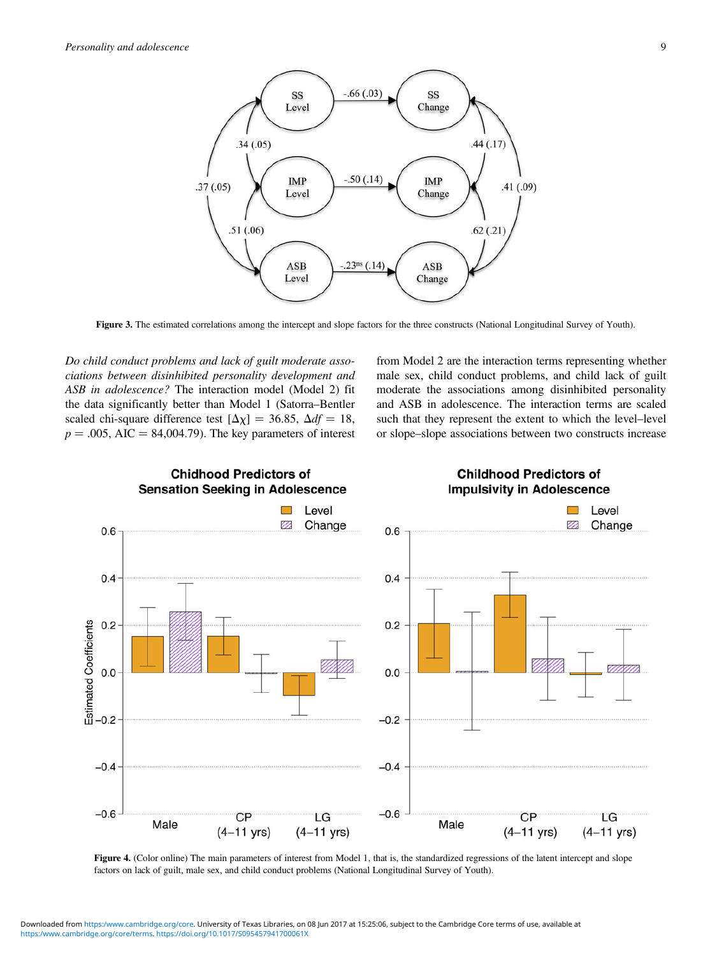<span id="page-8-0"></span>

Figure 3. The estimated correlations among the intercept and slope factors for the three constructs (National Longitudinal Survey of Youth).

Do child conduct problems and lack of guilt moderate associations between disinhibited personality development and ASB in adolescence? The interaction model (Model 2) fit the data significantly better than Model 1 (Satorra–Bentler scaled chi-square difference test  $[\Delta \chi] = 36.85$ ,  $\Delta df = 18$ ,  $p = .005$ , AIC = 84,004.79). The key parameters of interest from Model 2 are the interaction terms representing whether male sex, child conduct problems, and child lack of guilt moderate the associations among disinhibited personality and ASB in adolescence. The interaction terms are scaled such that they represent the extent to which the level–level or slope–slope associations between two constructs increase



Figure 4. (Color online) The main parameters of interest from Model 1, that is, the standardized regressions of the latent intercept and slope factors on lack of guilt, male sex, and child conduct problems (National Longitudinal Survey of Youth).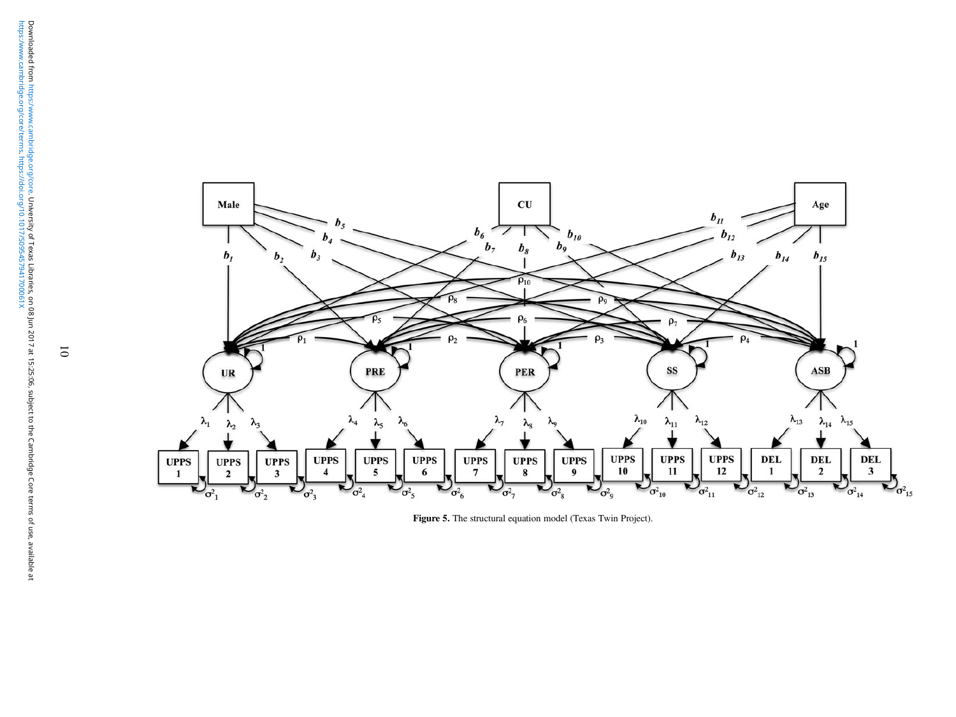<span id="page-9-0"></span>

Figure 5. The structural equation model (Texas Twin Project).

 $\overline{\textbf{c}}$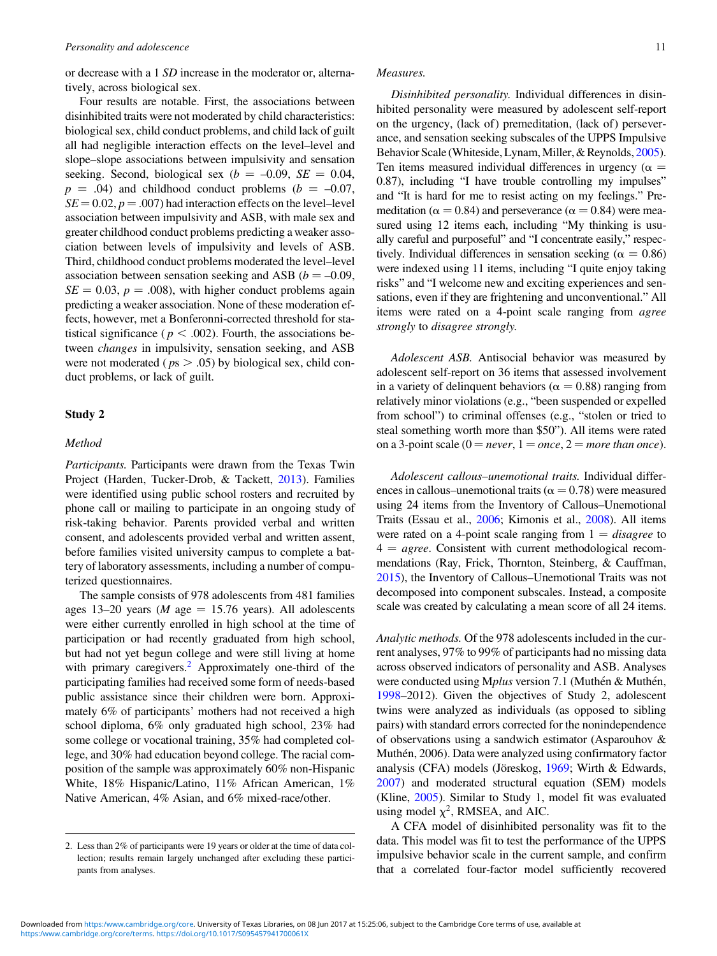or decrease with a 1 SD increase in the moderator or, alternatively, across biological sex.

Four results are notable. First, the associations between disinhibited traits were not moderated by child characteristics: biological sex, child conduct problems, and child lack of guilt all had negligible interaction effects on the level–level and slope–slope associations between impulsivity and sensation seeking. Second, biological sex ( $b = -0.09$ ,  $SE = 0.04$ ,  $p = .04$ ) and childhood conduct problems ( $b = -0.07$ ,  $SE = 0.02$ ,  $p = .007$ ) had interaction effects on the level–level association between impulsivity and ASB, with male sex and greater childhood conduct problems predicting a weaker association between levels of impulsivity and levels of ASB. Third, childhood conduct problems moderated the level–level association between sensation seeking and ASB ( $b = -0.09$ ,  $SE = 0.03$ ,  $p = .008$ ), with higher conduct problems again predicting a weaker association. None of these moderation effects, however, met a Bonferonni-corrected threshold for statistical significance ( $p < .002$ ). Fourth, the associations between changes in impulsivity, sensation seeking, and ASB were not moderated ( $ps > .05$ ) by biological sex, child conduct problems, or lack of guilt.

## Study 2

## Method

Participants. Participants were drawn from the Texas Twin Project (Harden, Tucker-Drob, & Tackett, [2013](#page-14-0)). Families were identified using public school rosters and recruited by phone call or mailing to participate in an ongoing study of risk-taking behavior. Parents provided verbal and written consent, and adolescents provided verbal and written assent, before families visited university campus to complete a battery of laboratory assessments, including a number of computerized questionnaires.

The sample consists of 978 adolescents from 481 families ages 13–20 years (*M* age = 15.76 years). All adolescents were either currently enrolled in high school at the time of participation or had recently graduated from high school, but had not yet begun college and were still living at home with primary caregivers.<sup>2</sup> Approximately one-third of the participating families had received some form of needs-based public assistance since their children were born. Approximately 6% of participants' mothers had not received a high school diploma, 6% only graduated high school, 23% had some college or vocational training, 35% had completed college, and 30% had education beyond college. The racial composition of the sample was approximately 60% non-Hispanic White, 18% Hispanic/Latino, 11% African American, 1% Native American, 4% Asian, and 6% mixed-race/other.

# Measures.

Disinhibited personality. Individual differences in disinhibited personality were measured by adolescent self-report on the urgency, (lack of) premeditation, (lack of) perseverance, and sensation seeking subscales of the UPPS Impulsive Behavior Scale (Whiteside, Lynam, Miller, & Reynolds, [2005](#page-15-0)). Ten items measured individual differences in urgency ( $\alpha$  = 0.87), including "I have trouble controlling my impulses" and "It is hard for me to resist acting on my feelings." Premeditation ( $\alpha$  = 0.84) and perseverance ( $\alpha$  = 0.84) were measured using 12 items each, including "My thinking is usually careful and purposeful" and "I concentrate easily," respectively. Individual differences in sensation seeking ( $\alpha = 0.86$ ) were indexed using 11 items, including "I quite enjoy taking risks" and "I welcome new and exciting experiences and sensations, even if they are frightening and unconventional." All items were rated on a 4-point scale ranging from agree strongly to disagree strongly.

Adolescent ASB. Antisocial behavior was measured by adolescent self-report on 36 items that assessed involvement in a variety of delinquent behaviors ( $\alpha = 0.88$ ) ranging from relatively minor violations (e.g., "been suspended or expelled from school") to criminal offenses (e.g., "stolen or tried to steal something worth more than \$50"). All items were rated on a 3-point scale ( $0 = never$ ,  $1 = once$ ,  $2 = more than once$ ).

Adolescent callous–unemotional traits. Individual differences in callous–unemotional traits ( $\alpha = 0.78$ ) were measured using 24 items from the Inventory of Callous–Unemotional Traits (Essau et al., [2006](#page-14-0); Kimonis et al., [2008](#page-14-0)). All items were rated on a 4-point scale ranging from  $1 = disagree$  to  $4 = agree.$  Consistent with current methodological recommendations (Ray, Frick, Thornton, Steinberg, & Cauffman, [2015\)](#page-15-0), the Inventory of Callous–Unemotional Traits was not decomposed into component subscales. Instead, a composite scale was created by calculating a mean score of all 24 items.

Analytic methods. Of the 978 adolescents included in the current analyses, 97% to 99% of participants had no missing data across observed indicators of personality and ASB. Analyses were conducted using Mplus version 7.1 (Muthén & Muthén, [1998–](#page-15-0)2012). Given the objectives of Study 2, adolescent twins were analyzed as individuals (as opposed to sibling pairs) with standard errors corrected for the nonindependence of observations using a sandwich estimator (Asparouhov & Muthén, 2006). Data were analyzed using confirmatory factor analysis (CFA) models (Jöreskog, [1969;](#page-14-0) Wirth & Edwards, [2007\)](#page-15-0) and moderated structural equation (SEM) models (Kline, [2005](#page-14-0)). Similar to Study 1, model fit was evaluated using model  $\chi^2$ , RMSEA, and AIC.

A CFA model of disinhibited personality was fit to the data. This model was fit to test the performance of the UPPS impulsive behavior scale in the current sample, and confirm that a correlated four-factor model sufficiently recovered

<sup>2.</sup> Less than 2% of participants were 19 years or older at the time of data collection; results remain largely unchanged after excluding these participants from analyses.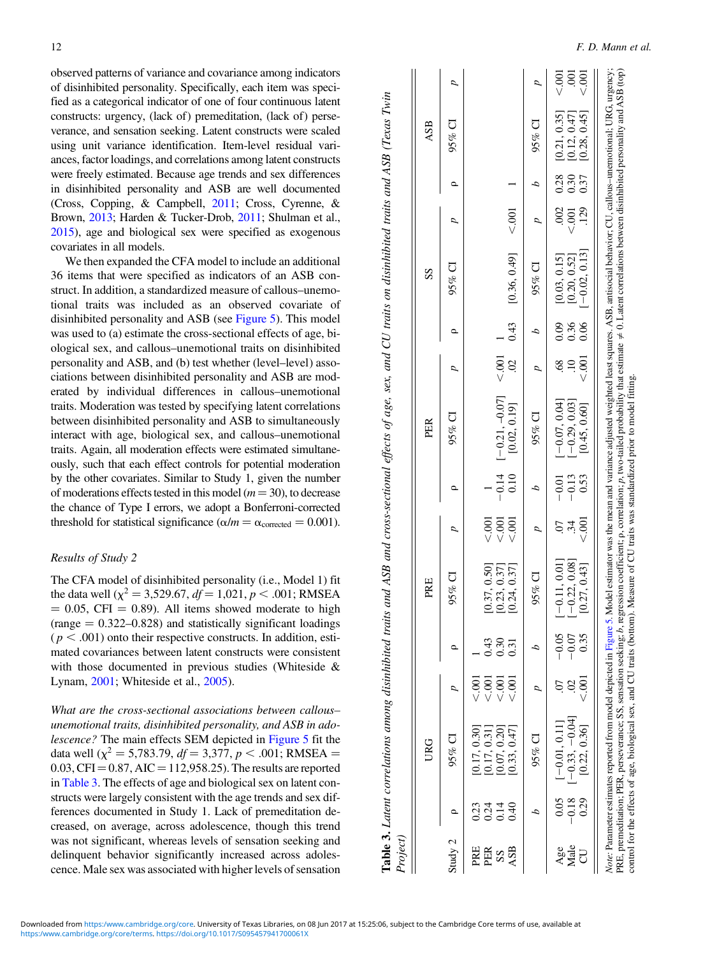observed patterns of variance and covariance among indicators of disinhibited personality. Specifically, each item was specified as a categorical indicator of one of four continuous latent constructs: urgency, (lack of) premeditation, (lack of) perseverance, and sensation seeking. Latent constructs were scaled using unit variance identification. Item-level residual variances, factor loadings, and correlations among latent constructs were freely estimated. Because age trends and sex differences in disinhibited personality and ASB are well documented (Cross, Copping, & Campbell, [2011](#page-14-0); Cross, Cyrenne, & Brown, [2013](#page-14-0); Harden & Tucker-Drob, [2011;](#page-14-0) Shulman et al., [2015\)](#page-15-0), age and biological sex were specified as exogenous covariates in all models.

We then expanded the CFA model to include an additional 36 items that were specified as indicators of an ASB construct. In addition, a standardized measure of callous–unemotional traits was included as an observed covariate of disinhibited personality and ASB (see [Figure 5\)](#page-9-0). This model was used to (a) estimate the cross-sectional effects of age, biological sex, and callous–unemotional traits on disinhibited personality and ASB, and (b) test whether (level–level) associations between disinhibited personality and ASB are moderated by individual differences in callous–unemotional traits. Moderation was tested by specifying latent correlations between disinhibited personality and ASB to simultaneously interact with age, biological sex, and callous–unemotional traits. Again, all moderation effects were estimated simultaneously, such that each effect controls for potential moderation by the other covariates. Similar to Study 1, given the number of moderations effects tested in this model ( $m = 30$ ), to decrease the chance of Type I errors, we adopt a Bonferroni-corrected threshold for statistical significance ( $\alpha/m = \alpha_{\text{corrected}} = 0.001$ ).

## Results of Study 2

The CFA model of disinhibited personality (i.e., Model 1) fit the data well ( $\chi^2$  = 3,529.67,  $df$  = 1,021, p < .001; RMSEA  $= 0.05$ , CFI  $= 0.89$ ). All items showed moderate to high  $(range = 0.322 - 0.828)$  and statistically significant loadings  $(p < .001)$  onto their respective constructs. In addition, estimated covariances between latent constructs were consistent with those documented in previous studies (Whiteside & Lynam, [2001](#page-15-0); Whiteside et al., [2005\)](#page-15-0).

What are the cross-sectional associations between callous– unemotional traits, disinhibited personality, and ASB in adolescence? The main effects SEM depicted in [Figure 5](#page-9-0) fit the data well ( $\chi^2$  = 5,783.79,  $df$  = 3,377,  $p$  < .001; RMSEA =  $0.03, CFI = 0.87, AIC = 112,958.25$ . The results are reported in Table 3. The effects of age and biological sex on latent constructs were largely consistent with the age trends and sex differences documented in Study 1. Lack of premeditation decreased, on average, across adolescence, though this trend was not significant, whereas levels of sensation seeking and delinquent behavior significantly increased across adolescence. Male sex was associated with higher levels of sensation

|                            | $\ddot{\phantom{a}}$                                                                                  |
|----------------------------|-------------------------------------------------------------------------------------------------------|
| I                          |                                                                                                       |
| $\sim$ 0 $/$ $T_{\rm max}$ |                                                                                                       |
|                            |                                                                                                       |
|                            | ı                                                                                                     |
|                            |                                                                                                       |
| $\frac{1}{2}$              | ֧֦֧֦֧֦֧ׅ֧֧֧֧֧֧ׅ֧֧ׅ֧֧֧֧֧֧֧֦֧֧֧֧֛֛֛֛֛֛֛֚֚֚֚֚֚֚֚֚֚֚֚֚֚֚֝֝֓֜֓֝֓֝֓֝֓֝֓֝֓֜֓֝֬֜֓֝֬֝֬֝֬֝֬֝֬֝֬֝֬֝<br>֧֛֪֪֛֝֜֝֝ |
|                            |                                                                                                       |
|                            | $\sim$<br>てきこう こうこうしゃ                                                                                 |
|                            |                                                                                                       |
|                            | - 11.11.11                                                                                            |
|                            |                                                                                                       |
|                            |                                                                                                       |
|                            |                                                                                                       |
|                            |                                                                                                       |
|                            |                                                                                                       |
|                            | $\frac{1}{2}$ of $\frac{1}{2}$ or $\frac{1}{2}$                                                       |
|                            |                                                                                                       |
|                            |                                                                                                       |
|                            |                                                                                                       |
|                            |                                                                                                       |
|                            |                                                                                                       |
| ;                          |                                                                                                       |
|                            |                                                                                                       |
|                            | , and So nam on amm<br>$\mu u \sim \mu v$ and $\mu$                                                   |
|                            |                                                                                                       |
|                            |                                                                                                       |
|                            | こうご                                                                                                   |
|                            |                                                                                                       |
|                            | $\overline{)}$                                                                                        |
|                            |                                                                                                       |
|                            | J                                                                                                     |
|                            |                                                                                                       |
| š                          | $\ddot{\phantom{a}}$                                                                                  |
|                            | ξ                                                                                                     |
|                            |                                                                                                       |
|                            |                                                                                                       |
|                            |                                                                                                       |
|                            |                                                                                                       |
|                            |                                                                                                       |
|                            |                                                                                                       |
|                            |                                                                                                       |
|                            |                                                                                                       |
|                            |                                                                                                       |
| ļ<br>j                     |                                                                                                       |
|                            |                                                                                                       |
|                            |                                                                                                       |
|                            | traits and ASB and cross-sectional                                                                    |
|                            |                                                                                                       |
|                            |                                                                                                       |
|                            |                                                                                                       |
|                            |                                                                                                       |
|                            |                                                                                                       |
|                            |                                                                                                       |
|                            |                                                                                                       |
|                            |                                                                                                       |
|                            |                                                                                                       |
|                            |                                                                                                       |
|                            |                                                                                                       |
|                            |                                                                                                       |
|                            |                                                                                                       |
|                            |                                                                                                       |
|                            |                                                                                                       |
|                            |                                                                                                       |
|                            |                                                                                                       |
|                            |                                                                                                       |
|                            |                                                                                                       |
|                            |                                                                                                       |
|                            |                                                                                                       |
|                            |                                                                                                       |
|                            |                                                                                                       |
|                            |                                                                                                       |
|                            |                                                                                                       |

 $\mathbf{z}$ 

| Project)         |                         |                                                                                                                                                                                                                                                                                                                                                                                                                                                                                                                                                                                            |                               |                            |                                                  |                    |                            |                                                                               |                      |                      |                                                 |               |                             |                                                  |                                  |
|------------------|-------------------------|--------------------------------------------------------------------------------------------------------------------------------------------------------------------------------------------------------------------------------------------------------------------------------------------------------------------------------------------------------------------------------------------------------------------------------------------------------------------------------------------------------------------------------------------------------------------------------------------|-------------------------------|----------------------------|--------------------------------------------------|--------------------|----------------------------|-------------------------------------------------------------------------------|----------------------|----------------------|-------------------------------------------------|---------------|-----------------------------|--------------------------------------------------|----------------------------------|
|                  |                         | <b>URG</b>                                                                                                                                                                                                                                                                                                                                                                                                                                                                                                                                                                                 |                               |                            | PRE                                              |                    |                            | PER                                                                           |                      |                      | SS                                              |               |                             | ASB                                              |                                  |
| Study 2          | o                       | $95\%$ CI                                                                                                                                                                                                                                                                                                                                                                                                                                                                                                                                                                                  |                               |                            | $95%$ CI                                         |                    | o                          | $95%$ CI                                                                      |                      | Q                    | $95%$ CI                                        |               | $\circ$                     | $95%$ CI                                         | p                                |
| PRE<br>PER<br>SS | 0.23<br>0.24<br>0.14    | [0.17, 0.30]<br>[0.17, 0.31]<br>[0.07, 0.20]                                                                                                                                                                                                                                                                                                                                                                                                                                                                                                                                               | $\leq 001$<br>$\leqslant 001$ | 0.43<br>0.30               | [0.37, 0.50]<br>[0.23, 0.37]                     | 5001<br>$\leq 001$ |                            | $\begin{bmatrix} -0.14 & [-0.21, -0.07] \\ 0.10 & [0.02, 0.19] \end{bmatrix}$ | $\leq$ .001          |                      |                                                 |               |                             |                                                  |                                  |
| ASB              | 0.40                    | 0.33, 0.47                                                                                                                                                                                                                                                                                                                                                                                                                                                                                                                                                                                 | $\overline{00}$               | 0.31                       | 0.37                                             | 500                |                            |                                                                               | $\mathcal{S}$        | 0.43                 | $[0.36, 0.49]$ <.001                            |               |                             |                                                  |                                  |
|                  |                         | $95%$ CI                                                                                                                                                                                                                                                                                                                                                                                                                                                                                                                                                                                   |                               |                            | $95%$ CI                                         |                    |                            | 95% CI                                                                        |                      |                      | $95\%$ CI                                       |               | 2                           | 95% CI                                           |                                  |
| Male<br>Age      | 0.05<br>$-0.18$<br>0.29 | $-0.33, -0.04$<br>$[-0.01, 0.11]$<br>[0.22, 0.36]                                                                                                                                                                                                                                                                                                                                                                                                                                                                                                                                          | $\sum_{i=1}^{n}$<br>S         | $-0.05$<br>0.35<br>$-0.07$ | $[-0.11, 0.01]$<br>$[-0.22, 0.08]$<br>0.27, 0.43 | 500.               | 0.53<br>$-0.13$<br>$-0.01$ | $[-0.29, 0.03]$<br>$[-0.07, 0.04]$<br>[0.45, 0.60]                            | $\frac{1}{2}$<br>89. | 0.09<br>0.36<br>0.06 | $[-0.02, 0.13]$<br>[0.03, 0.15]<br>[0.20, 0.52] | 129<br>< .001 | $.002$ 0.28<br>0.30<br>0.37 | [0.21, 0.35]<br>$[0.12, 0.47]$<br>$[0.28, 0.45]$ | $\frac{00}{2}$<br>$\overline{5}$ |
|                  |                         | Note: Parameter estimates reported from model depicted in Figure 5. Model estimator was the mean and variance adjusted weighted least squares. ASB, antisocial behavior; CU, callous-unemotional; URG, urgency;<br>PRE, premeditation; PER, perseverance; SS, sensation seeking; b, regression coefficient; p, correlation; p, two-tailed probability that estimate $\neq 0$ . Latent correlations between disinhibited personality and ASB (top)<br>control for the effects of age, biological sex, and CU traits (bottom). Measure of CU traits was standardized prior to model fitting. |                               |                            |                                                  |                    |                            |                                                                               |                      |                      |                                                 |               |                             |                                                  |                                  |

<https:/www.cambridge.org/core/terms>. <https://doi.org/10.1017/S095457941700061X> Downloaded from <https:/www.cambridge.org/core>. University of Texas Libraries, on 08 Jun 2017 at 15:25:06, subject to the Cambridge Core terms of use, available at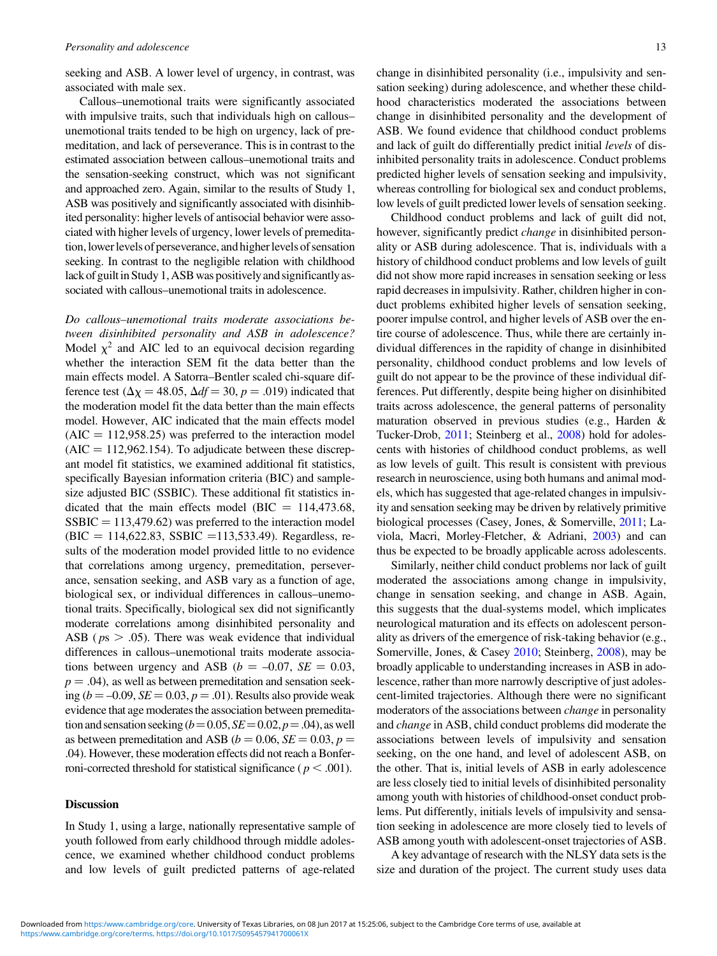seeking and ASB. A lower level of urgency, in contrast, was associated with male sex.

Callous–unemotional traits were significantly associated with impulsive traits, such that individuals high on callous– unemotional traits tended to be high on urgency, lack of premeditation, and lack of perseverance. This is in contrast to the estimated association between callous–unemotional traits and the sensation-seeking construct, which was not significant and approached zero. Again, similar to the results of Study 1, ASB was positively and significantly associated with disinhibited personality: higher levels of antisocial behavior were associated with higher levels of urgency, lower levels of premeditation,lowerlevels of perseverance, and higher levels of sensation seeking. In contrast to the negligible relation with childhood lack of guilt in Study 1, ASB was positively and significantly associated with callous–unemotional traits in adolescence.

Do callous–unemotional traits moderate associations between disinhibited personality and ASB in adolescence? Model  $\chi^2$  and AIC led to an equivocal decision regarding whether the interaction SEM fit the data better than the main effects model. A Satorra–Bentler scaled chi-square difference test ( $\Delta \chi = 48.05$ ,  $\Delta df = 30$ ,  $p = .019$ ) indicated that the moderation model fit the data better than the main effects model. However, AIC indicated that the main effects model  $(AIC = 112,958.25)$  was preferred to the interaction model  $(AIC = 112,962.154)$ . To adjudicate between these discrepant model fit statistics, we examined additional fit statistics, specifically Bayesian information criteria (BIC) and samplesize adjusted BIC (SSBIC). These additional fit statistics indicated that the main effects model (BIC =  $114,473.68$ ,  $SSBIC = 113,479.62$  was preferred to the interaction model  $(BIC = 114,622.83, SSBIC = 113,533.49)$ . Regardless, results of the moderation model provided little to no evidence that correlations among urgency, premeditation, perseverance, sensation seeking, and ASB vary as a function of age, biological sex, or individual differences in callous–unemotional traits. Specifically, biological sex did not significantly moderate correlations among disinhibited personality and ASB ( $ps > .05$ ). There was weak evidence that individual differences in callous–unemotional traits moderate associations between urgency and ASB ( $b = -0.07$ ,  $SE = 0.03$ ,  $p = .04$ , as well as between premeditation and sensation seeking ( $b = -0.09$ ,  $SE = 0.03$ ,  $p = .01$ ). Results also provide weak evidence that age moderates the association between premeditation and sensation seeking  $(b=0.05, SE=0.02, p=.04)$ , as well as between premeditation and ASB ( $b = 0.06$ ,  $SE = 0.03$ ,  $p =$ .04). However, these moderation effects did not reach a Bonferroni-corrected threshold for statistical significance ( $p < .001$ ).

## **Discussion**

In Study 1, using a large, nationally representative sample of youth followed from early childhood through middle adolescence, we examined whether childhood conduct problems and low levels of guilt predicted patterns of age-related

change in disinhibited personality (i.e., impulsivity and sensation seeking) during adolescence, and whether these childhood characteristics moderated the associations between change in disinhibited personality and the development of ASB. We found evidence that childhood conduct problems and lack of guilt do differentially predict initial levels of disinhibited personality traits in adolescence. Conduct problems predicted higher levels of sensation seeking and impulsivity, whereas controlling for biological sex and conduct problems, low levels of guilt predicted lower levels of sensation seeking.

Childhood conduct problems and lack of guilt did not, however, significantly predict *change* in disinhibited personality or ASB during adolescence. That is, individuals with a history of childhood conduct problems and low levels of guilt did not show more rapid increases in sensation seeking or less rapid decreases in impulsivity. Rather, children higher in conduct problems exhibited higher levels of sensation seeking, poorer impulse control, and higher levels of ASB over the entire course of adolescence. Thus, while there are certainly individual differences in the rapidity of change in disinhibited personality, childhood conduct problems and low levels of guilt do not appear to be the province of these individual differences. Put differently, despite being higher on disinhibited traits across adolescence, the general patterns of personality maturation observed in previous studies (e.g., Harden & Tucker-Drob, [2011](#page-14-0); Steinberg et al., [2008](#page-15-0)) hold for adolescents with histories of childhood conduct problems, as well as low levels of guilt. This result is consistent with previous research in neuroscience, using both humans and animal models, which has suggested that age-related changes in impulsivity and sensation seeking may be driven by relatively primitive biological processes (Casey, Jones, & Somerville, [2011;](#page-14-0) Laviola, Macri, Morley-Fletcher, & Adriani, [2003\)](#page-14-0) and can thus be expected to be broadly applicable across adolescents.

Similarly, neither child conduct problems nor lack of guilt moderated the associations among change in impulsivity, change in sensation seeking, and change in ASB. Again, this suggests that the dual-systems model, which implicates neurological maturation and its effects on adolescent personality as drivers of the emergence of risk-taking behavior (e.g., Somerville, Jones, & Casey [2010;](#page-15-0) Steinberg, [2008](#page-15-0)), may be broadly applicable to understanding increases in ASB in adolescence, rather than more narrowly descriptive of just adolescent-limited trajectories. Although there were no significant moderators of the associations between change in personality and change in ASB, child conduct problems did moderate the associations between levels of impulsivity and sensation seeking, on the one hand, and level of adolescent ASB, on the other. That is, initial levels of ASB in early adolescence are less closely tied to initial levels of disinhibited personality among youth with histories of childhood-onset conduct problems. Put differently, initials levels of impulsivity and sensation seeking in adolescence are more closely tied to levels of ASB among youth with adolescent-onset trajectories of ASB.

A key advantage of research with the NLSY data sets is the size and duration of the project. The current study uses data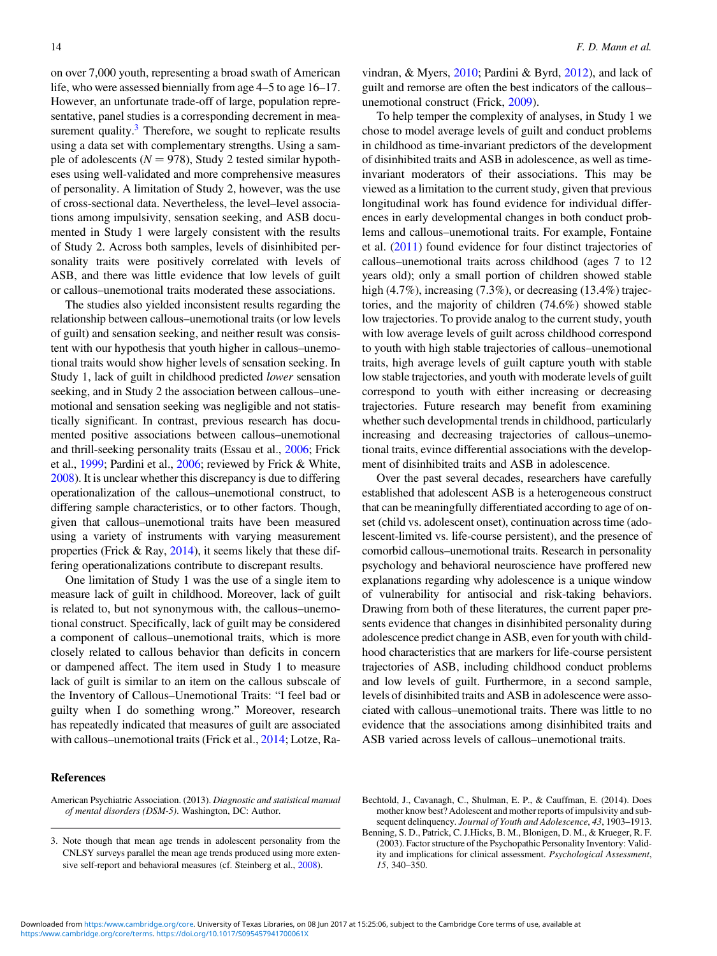<span id="page-13-0"></span>on over 7,000 youth, representing a broad swath of American life, who were assessed biennially from age 4–5 to age 16–17. However, an unfortunate trade-off of large, population representative, panel studies is a corresponding decrement in measurement quality. $3$  Therefore, we sought to replicate results using a data set with complementary strengths. Using a sample of adolescents ( $N = 978$ ), Study 2 tested similar hypotheses using well-validated and more comprehensive measures of personality. A limitation of Study 2, however, was the use of cross-sectional data. Nevertheless, the level–level associations among impulsivity, sensation seeking, and ASB documented in Study 1 were largely consistent with the results of Study 2. Across both samples, levels of disinhibited personality traits were positively correlated with levels of ASB, and there was little evidence that low levels of guilt or callous–unemotional traits moderated these associations.

The studies also yielded inconsistent results regarding the relationship between callous–unemotional traits (or low levels of guilt) and sensation seeking, and neither result was consistent with our hypothesis that youth higher in callous–unemotional traits would show higher levels of sensation seeking. In Study 1, lack of guilt in childhood predicted lower sensation seeking, and in Study 2 the association between callous–unemotional and sensation seeking was negligible and not statistically significant. In contrast, previous research has documented positive associations between callous–unemotional and thrill-seeking personality traits (Essau et al., [2006;](#page-14-0) Frick et al., [1999](#page-14-0); Pardini et al., [2006](#page-15-0); reviewed by Frick & White, [2008\)](#page-14-0). It is unclear whether this discrepancy is due to differing operationalization of the callous–unemotional construct, to differing sample characteristics, or to other factors. Though, given that callous–unemotional traits have been measured using a variety of instruments with varying measurement properties (Frick & Ray, [2014\)](#page-14-0), it seems likely that these differing operationalizations contribute to discrepant results.

One limitation of Study 1 was the use of a single item to measure lack of guilt in childhood. Moreover, lack of guilt is related to, but not synonymous with, the callous–unemotional construct. Specifically, lack of guilt may be considered a component of callous–unemotional traits, which is more closely related to callous behavior than deficits in concern or dampened affect. The item used in Study 1 to measure lack of guilt is similar to an item on the callous subscale of the Inventory of Callous–Unemotional Traits: "I feel bad or guilty when I do something wrong." Moreover, research has repeatedly indicated that measures of guilt are associated with callous–unemotional traits (Frick et al., [2014](#page-14-0); Lotze, Ravindran, & Myers, [2010;](#page-14-0) Pardini & Byrd, [2012\)](#page-15-0), and lack of guilt and remorse are often the best indicators of the callous– unemotional construct (Frick, [2009](#page-14-0)).

To help temper the complexity of analyses, in Study 1 we chose to model average levels of guilt and conduct problems in childhood as time-invariant predictors of the development of disinhibited traits and ASB in adolescence, as well as timeinvariant moderators of their associations. This may be viewed as a limitation to the current study, given that previous longitudinal work has found evidence for individual differences in early developmental changes in both conduct problems and callous–unemotional traits. For example, Fontaine et al. ([2011\)](#page-14-0) found evidence for four distinct trajectories of callous–unemotional traits across childhood (ages 7 to 12 years old); only a small portion of children showed stable high (4.7%), increasing (7.3%), or decreasing (13.4%) trajectories, and the majority of children (74.6%) showed stable low trajectories. To provide analog to the current study, youth with low average levels of guilt across childhood correspond to youth with high stable trajectories of callous–unemotional traits, high average levels of guilt capture youth with stable low stable trajectories, and youth with moderate levels of guilt correspond to youth with either increasing or decreasing trajectories. Future research may benefit from examining whether such developmental trends in childhood, particularly increasing and decreasing trajectories of callous–unemotional traits, evince differential associations with the development of disinhibited traits and ASB in adolescence.

Over the past several decades, researchers have carefully established that adolescent ASB is a heterogeneous construct that can be meaningfully differentiated according to age of onset (child vs. adolescent onset), continuation across time (adolescent-limited vs. life-course persistent), and the presence of comorbid callous–unemotional traits. Research in personality psychology and behavioral neuroscience have proffered new explanations regarding why adolescence is a unique window of vulnerability for antisocial and risk-taking behaviors. Drawing from both of these literatures, the current paper presents evidence that changes in disinhibited personality during adolescence predict change in ASB, even for youth with childhood characteristics that are markers for life-course persistent trajectories of ASB, including childhood conduct problems and low levels of guilt. Furthermore, in a second sample, levels of disinhibited traits and ASB in adolescence were associated with callous–unemotional traits. There was little to no evidence that the associations among disinhibited traits and ASB varied across levels of callous–unemotional traits.

American Psychiatric Association. (2013). Diagnostic and statistical manual of mental disorders (DSM-5). Washington, DC: Author.

<sup>3.</sup> Note though that mean age trends in adolescent personality from the CNLSY surveys parallel the mean age trends produced using more extensive self-report and behavioral measures (cf. Steinberg et al., [2008\)](#page-15-0).

Bechtold, J., Cavanagh, C., Shulman, E. P., & Cauffman, E. (2014). Does mother know best? Adolescent and mother reports of impulsivity and subsequent delinquency. Journal of Youth and Adolescence, 43, 1903-1913.

Benning, S. D., Patrick, C. J.Hicks, B. M., Blonigen, D. M., & Krueger, R. F. (2003). Factor structure of the Psychopathic Personality Inventory: Validity and implications for clinical assessment. Psychological Assessment, 15, 340–350.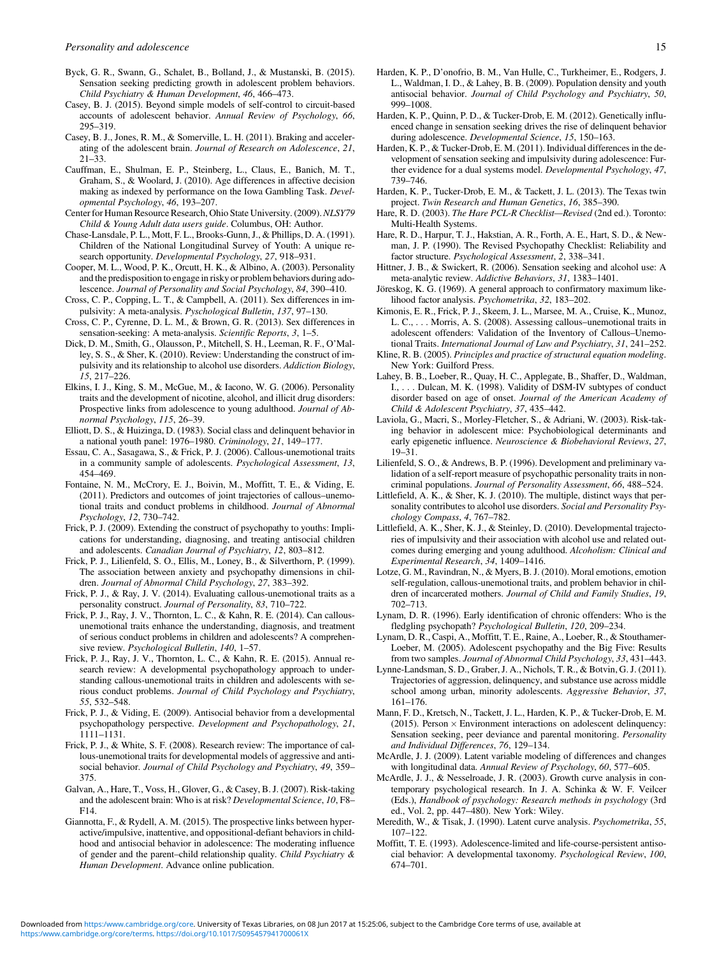- <span id="page-14-0"></span>Byck, G. R., Swann, G., Schalet, B., Bolland, J., & Mustanski, B. (2015). Sensation seeking predicting growth in adolescent problem behaviors. Child Psychiatry & Human Development, 46, 466–473.
- Casey, B. J. (2015). Beyond simple models of self-control to circuit-based accounts of adolescent behavior. Annual Review of Psychology, 66, 295–319.
- Casey, B. J., Jones, R. M., & Somerville, L. H. (2011). Braking and accelerating of the adolescent brain. Journal of Research on Adolescence, 21, 21–33.
- Cauffman, E., Shulman, E. P., Steinberg, L., Claus, E., Banich, M. T., Graham, S., & Woolard, J. (2010). Age differences in affective decision making as indexed by performance on the Iowa Gambling Task. Developmental Psychology, 46, 193–207.
- Center for Human Resource Research, Ohio State University. (2009). NLSY79 Child & Young Adult data users guide. Columbus, OH: Author.
- Chase-Lansdale, P. L., Mott, F. L., Brooks-Gunn, J., & Phillips, D. A. (1991). Children of the National Longitudinal Survey of Youth: A unique research opportunity. Developmental Psychology, 27, 918–931.
- Cooper, M. L., Wood, P. K., Orcutt, H. K., & Albino, A. (2003). Personality and the predisposition to engage in risky or problem behaviors during adolescence. Journal of Personality and Social Psychology, 84, 390–410.
- Cross, C. P., Copping, L. T., & Campbell, A. (2011). Sex differences in impulsivity: A meta-analysis. Pyschological Bulletin, 137, 97–130.
- Cross, C. P., Cyrenne, D. L. M., & Brown, G. R. (2013). Sex differences in sensation-seeking: A meta-analysis. Scientific Reports, 3, 1–5.
- Dick, D. M., Smith, G., Olausson, P., Mitchell, S. H., Leeman, R. F., O'Malley, S. S., & Sher, K. (2010). Review: Understanding the construct of impulsivity and its relationship to alcohol use disorders. Addiction Biology, 15, 217–226.
- Elkins, I. J., King, S. M., McGue, M., & Iacono, W. G. (2006). Personality traits and the development of nicotine, alcohol, and illicit drug disorders: Prospective links from adolescence to young adulthood. Journal of Abnormal Psychology, 115, 26–39.
- Elliott, D. S., & Huizinga, D. (1983). Social class and delinquent behavior in a national youth panel: 1976–1980. Criminology, 21, 149–177.
- Essau, C. A., Sasagawa, S., & Frick, P. J. (2006). Callous-unemotional traits in a community sample of adolescents. Psychological Assessment, 13, 454–469.
- Fontaine, N. M., McCrory, E. J., Boivin, M., Moffitt, T. E., & Viding, E. (2011). Predictors and outcomes of joint trajectories of callous–unemotional traits and conduct problems in childhood. Journal of Abnormal Psychology, 12, 730–742.
- Frick, P. J. (2009). Extending the construct of psychopathy to youths: Implications for understanding, diagnosing, and treating antisocial children and adolescents. Canadian Journal of Psychiatry, 12, 803–812.
- Frick, P. J., Lilienfeld, S. O., Ellis, M., Loney, B., & Silverthorn, P. (1999). The association between anxiety and psychopathy dimensions in children. Journal of Abnormal Child Psychology, 27, 383–392.
- Frick, P. J., & Ray, J. V. (2014). Evaluating callous-unemotional traits as a personality construct. Journal of Personality, 83, 710–722.
- Frick, P. J., Ray, J. V., Thornton, L. C., & Kahn, R. E. (2014). Can callousunemotional traits enhance the understanding, diagnosis, and treatment of serious conduct problems in children and adolescents? A comprehensive review. Psychological Bulletin, 140, 1–57.
- Frick, P. J., Ray, J. V., Thornton, L. C., & Kahn, R. E. (2015). Annual research review: A developmental psychopathology approach to understanding callous-unemotional traits in children and adolescents with serious conduct problems. Journal of Child Psychology and Psychiatry, 55, 532–548.
- Frick, P. J., & Viding, E. (2009). Antisocial behavior from a developmental psychopathology perspective. Development and Psychopathology, 21, 1111–1131.
- Frick, P. J., & White, S. F. (2008). Research review: The importance of callous-unemotional traits for developmental models of aggressive and antisocial behavior. Journal of Child Psychology and Psychiatry, 49, 359– 375.
- Galvan, A., Hare, T., Voss, H., Glover, G., & Casey, B. J. (2007). Risk-taking and the adolescent brain: Who is at risk? Developmental Science, 10, F8– F14.
- Giannotta, F., & Rydell, A. M. (2015). The prospective links between hyperactive/impulsive, inattentive, and oppositional-defiant behaviors in childhood and antisocial behavior in adolescence: The moderating influence of gender and the parent–child relationship quality. Child Psychiatry & Human Development. Advance online publication.
- Harden, K. P., D'onofrio, B. M., Van Hulle, C., Turkheimer, E., Rodgers, J. L., Waldman, I. D., & Lahey, B. B. (2009). Population density and youth antisocial behavior. Journal of Child Psychology and Psychiatry, 50, 999–1008.
- Harden, K. P., Quinn, P. D., & Tucker-Drob, E. M. (2012). Genetically influenced change in sensation seeking drives the rise of delinquent behavior during adolescence. Developmental Science, 15, 150–163.
- Harden, K. P., & Tucker-Drob, E. M. (2011). Individual differences in the development of sensation seeking and impulsivity during adolescence: Further evidence for a dual systems model. Developmental Psychology, 47, 739–746.
- Harden, K. P., Tucker-Drob, E. M., & Tackett, J. L. (2013). The Texas twin project. Twin Research and Human Genetics, 16, 385–390.
- Hare, R. D. (2003). The Hare PCL-R Checklist—Revised (2nd ed.). Toronto: Multi-Health Systems.
- Hare, R. D., Harpur, T. J., Hakstian, A. R., Forth, A. E., Hart, S. D., & Newman, J. P. (1990). The Revised Psychopathy Checklist: Reliability and factor structure. Psychological Assessment, 2, 338–341.
- Hittner, J. B., & Swickert, R. (2006). Sensation seeking and alcohol use: A meta-analytic review. Addictive Behaviors, 31, 1383–1401.
- Jöreskog, K. G. (1969). A general approach to confirmatory maximum likelihood factor analysis. Psychometrika, 32, 183–202.
- Kimonis, E. R., Frick, P. J., Skeem, J. L., Marsee, M. A., Cruise, K., Munoz, L. C., . . . Morris, A. S. (2008). Assessing callous–unemotional traits in adolescent offenders: Validation of the Inventory of Callous–Unemotional Traits. International Journal of Law and Psychiatry, 31, 241–252.
- Kline, R. B. (2005). Principles and practice of structural equation modeling. New York: Guilford Press.
- Lahey, B. B., Loeber, R., Quay, H. C., Applegate, B., Shaffer, D., Waldman, I., . . . Dulcan, M. K. (1998). Validity of DSM-IV subtypes of conduct disorder based on age of onset. Journal of the American Academy of Child & Adolescent Psychiatry, 37, 435–442.
- Laviola, G., Macri, S., Morley-Fletcher, S., & Adriani, W. (2003). Risk-taking behavior in adolescent mice: Psychobiological determinants and early epigenetic influence. Neuroscience & Biobehavioral Reviews, 27, 19–31.
- Lilienfeld, S. O., & Andrews, B. P. (1996). Development and preliminary validation of a self-report measure of psychopathic personality traits in noncriminal populations. Journal of Personality Assessment, 66, 488–524.
- Littlefield, A. K., & Sher, K. J. (2010). The multiple, distinct ways that personality contributes to alcohol use disorders. Social and Personality Psychology Compass, 4, 767–782.
- Littlefield, A. K., Sher, K. J., & Steinley, D. (2010). Developmental trajectories of impulsivity and their association with alcohol use and related outcomes during emerging and young adulthood. Alcoholism: Clinical and Experimental Research, 34, 1409–1416.
- Lotze, G. M., Ravindran, N., & Myers, B. J. (2010). Moral emotions, emotion self-regulation, callous-unemotional traits, and problem behavior in children of incarcerated mothers. Journal of Child and Family Studies, 19, 702–713.
- Lynam, D. R. (1996). Early identification of chronic offenders: Who is the fledgling psychopath? Psychological Bulletin, 120, 209–234.
- Lynam, D. R., Caspi, A., Moffitt, T. E., Raine, A., Loeber, R., & Stouthamer-Loeber, M. (2005). Adolescent psychopathy and the Big Five: Results from two samples. Journal of Abnormal Child Psychology, 33, 431-443.
- Lynne-Landsman, S. D., Graber, J. A., Nichols, T. R., & Botvin, G. J. (2011). Trajectories of aggression, delinquency, and substance use across middle school among urban, minority adolescents. Aggressive Behavior, 37, 161–176.
- Mann, F. D., Kretsch, N., Tackett, J. L., Harden, K. P., & Tucker-Drob, E. M. (2015). Person  $\times$  Environment interactions on adolescent delinquency: Sensation seeking, peer deviance and parental monitoring. Personality and Individual Differences, 76, 129–134.
- McArdle, J. J. (2009). Latent variable modeling of differences and changes with longitudinal data. Annual Review of Psychology, 60, 577–605.
- McArdle, J. J., & Nesselroade, J. R. (2003). Growth curve analysis in contemporary psychological research. In J. A. Schinka & W. F. Veilcer (Eds.), Handbook of psychology: Research methods in psychology (3rd ed., Vol. 2, pp. 447–480). New York: Wiley.
- Meredith, W., & Tisak, J. (1990). Latent curve analysis. Psychometrika, 55, 107–122.
- Moffitt, T. E. (1993). Adolescence-limited and life-course-persistent antisocial behavior: A developmental taxonomy. Psychological Review, 100, 674–701.